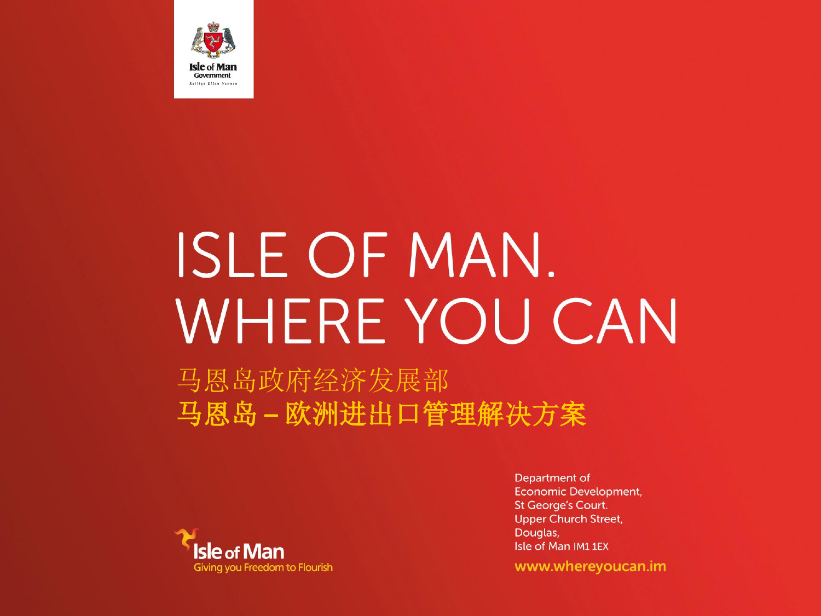

# **ISLE OF MAN.** WHERE YOU CAN

马恩岛政府经济发展部 马恩岛 **–** 欧洲进出口管理解决方案



Department of **Economic Development, St George's Court. Upper Church Street,** Douglas, Isle of Man IM11EX

www.whereyoucan.im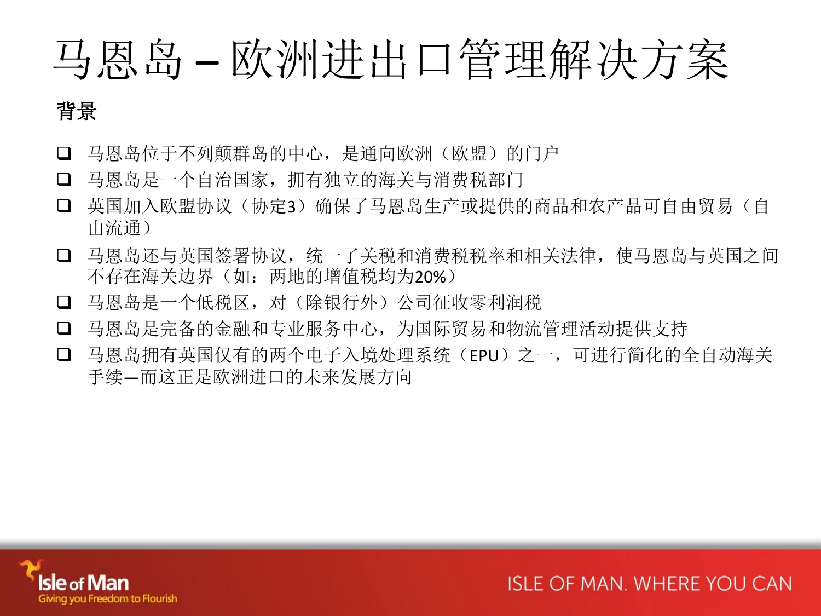# 马恩岛 – 欧洲进出口管理解决方案

## 背景

- 马恩岛位于不列颠群岛的中心,是通向欧洲(欧盟)的门户
- 马恩岛是一个自治国家,拥有独立的海关与消费税部门
- □ 英国加入欧盟协议(协定3)确保了马恩岛生产或提供的商品和农产品可自由贸易(自 由流通)
- □ 马恩岛还与英国签署协议, 统一了关税和消费税税率和相关法律, 使马恩岛与英国之间 不存在海关边界(如:两地的增值税均为20%)
- 马恩岛是一个低税区,对(除银行外)公司征收零利润税
- 马恩岛是完备的金融和专业服务中心,为国际贸易和物流管理活动提供支持
- 马恩岛拥有英国仅有的两个电子入境处理系统(EPU)之一,可进行简化的全自动海关 手续—而这正是欧洲进口的未来发展方向

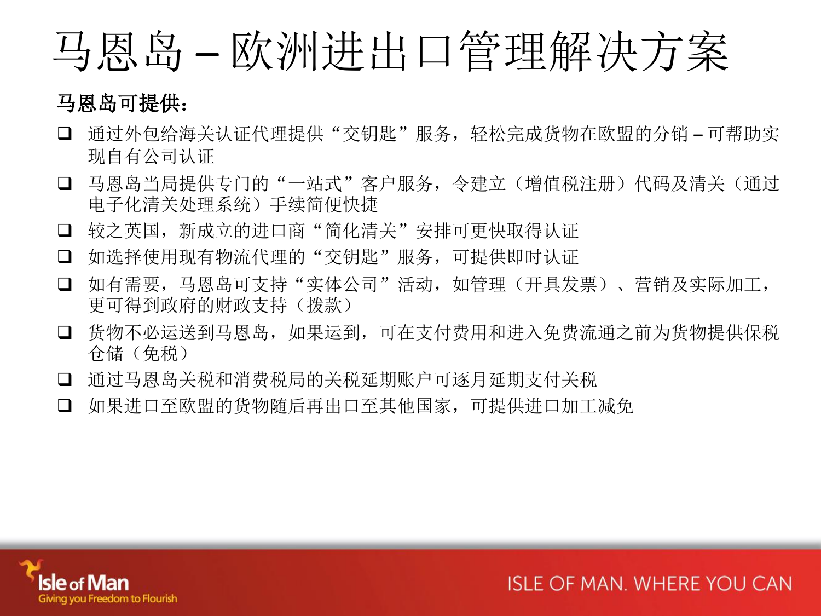## 马恩岛 – 欧洲进出口管理解决方案

## 马恩岛可提供:

- 通过外包给海关认证代理提供"交钥匙"服务,轻松完成货物在欧盟的分销 可帮助实 现自有公司认证
- □ 马恩岛当局提供专门的"一站式"客户服务,令建立(增值税注册)代码及清关(通过 电子化清关处理系统)手续简便快捷
- 口 较之英国,新成立的进口商"简化清关"安排可更快取得认证
- 口 如选择使用现有物流代理的"交钥匙"服务, 可提供即时认证
- □ 如有需要,马恩岛可支持"实体公司"活动,如管理(开具发票)、营销及实际加工, 更可得到政府的财政支持(拨款)
- 货物不必运送到马恩岛,如果运到,可在支付费用和进入免费流通之前为货物提供保税 仓储(免税)
- 通过马恩岛关税和消费税局的关税延期账户可逐月延期支付关税
- 如果进口至欧盟的货物随后再出口至其他国家,可提供进口加工减免

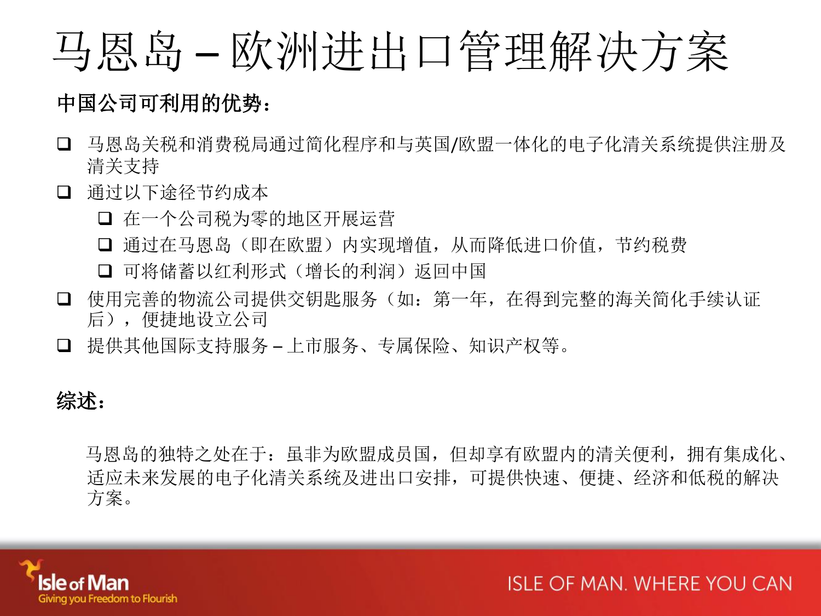## 马恩岛 – 欧洲进出口管理解决方案

## 中国公司可利用的优势:

- □ 马恩岛关税和消费税局通过简化程序和与英国/欧盟一体化的电子化清关系统提供注册及 清关支持
- 通过以下途径节约成本
	- 口 在一个公司税为零的地区开展运营
	- 通过在马恩岛(即在欧盟)内实现增值,从而降低进口价值,节约税费
	- 口 可将储蓄以红利形式(增长的利润)返回中国
- 使用完善的物流公司提供交钥匙服务(如:第一年,在得到完整的海关简化手续认证 后),便捷地设立公司
- 提供其他国际支持服务 上市服务、专属保险、知识产权等。

## 综述:

 马恩岛的独特之处在于:虽非为欧盟成员国,但却享有欧盟内的清关便利,拥有集成化、 适应未来发展的电子化清关系统及进出口安排,可提供快速、便捷、经济和低税的解决 方案。

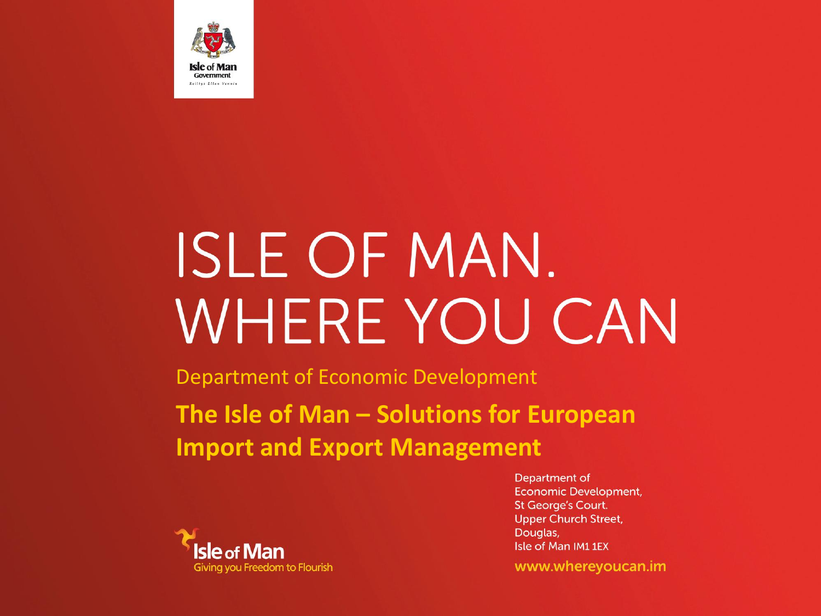

# **ISLE OF MAN.** WHERE YOU CAN

Department of Economic Development

**The Isle of Man – Solutions for European Import and Export Management**



Department of **Economic Development, St George's Court. Upper Church Street,** Douglas, Isle of Man IM11EX

www.whereyoucan.im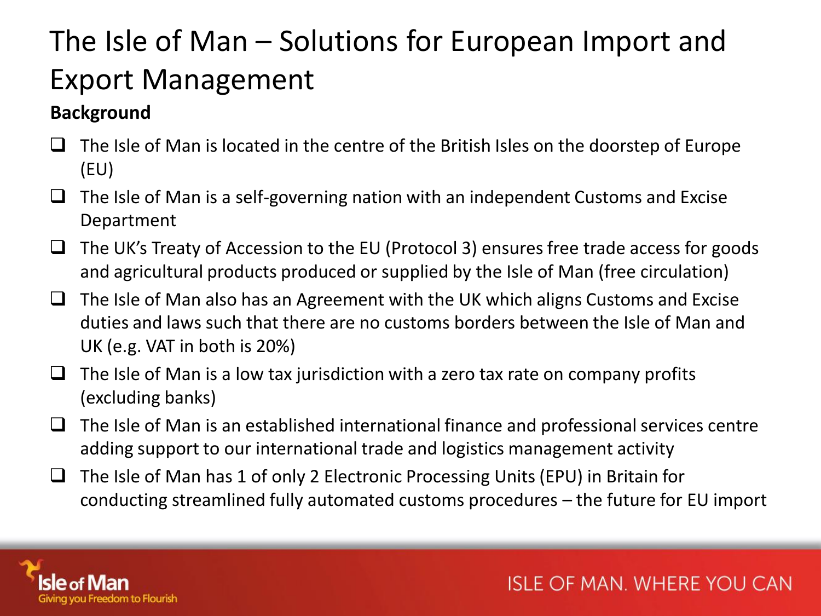## The Isle of Man – Solutions for European Import and Export Management

### **Background**

- $\Box$  The Isle of Man is located in the centre of the British Isles on the doorstep of Europe (EU)
- $\Box$  The Isle of Man is a self-governing nation with an independent Customs and Excise Department
- $\Box$  The UK's Treaty of Accession to the EU (Protocol 3) ensures free trade access for goods and agricultural products produced or supplied by the Isle of Man (free circulation)
- $\Box$  The Isle of Man also has an Agreement with the UK which aligns Customs and Excise duties and laws such that there are no customs borders between the Isle of Man and UK (e.g. VAT in both is 20%)
- $\Box$  The Isle of Man is a low tax jurisdiction with a zero tax rate on company profits (excluding banks)
- $\Box$  The Isle of Man is an established international finance and professional services centre adding support to our international trade and logistics management activity
- $\Box$  The Isle of Man has 1 of only 2 Electronic Processing Units (EPU) in Britain for conducting streamlined fully automated customs procedures – the future for EU import

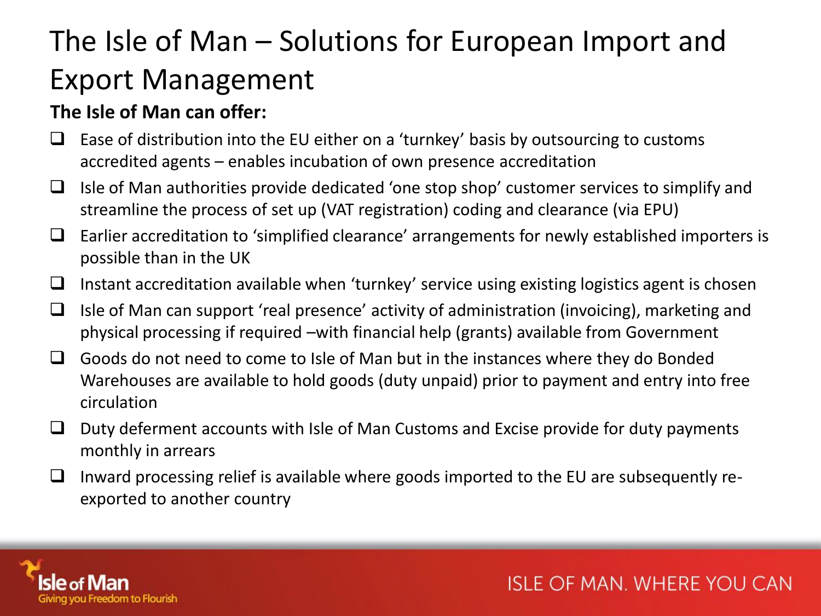## The Isle of Man – Solutions for European Import and Export Management

#### **The Isle of Man can offer:**

- $\Box$  Ease of distribution into the EU either on a 'turnkey' basis by outsourcing to customs accredited agents – enables incubation of own presence accreditation
- $\Box$  Isle of Man authorities provide dedicated 'one stop shop' customer services to simplify and streamline the process of set up (VAT registration) coding and clearance (via EPU)
- $\Box$  Earlier accreditation to 'simplified clearance' arrangements for newly established importers is possible than in the UK
- $\Box$  Instant accreditation available when 'turnkey' service using existing logistics agent is chosen
- $\Box$  Isle of Man can support 'real presence' activity of administration (invoicing), marketing and physical processing if required –with financial help (grants) available from Government
- $\Box$  Goods do not need to come to Isle of Man but in the instances where they do Bonded Warehouses are available to hold goods (duty unpaid) prior to payment and entry into free circulation
- $\Box$  Duty deferment accounts with Isle of Man Customs and Excise provide for duty payments monthly in arrears
- $\Box$  Inward processing relief is available where goods imported to the EU are subsequently reexported to another country

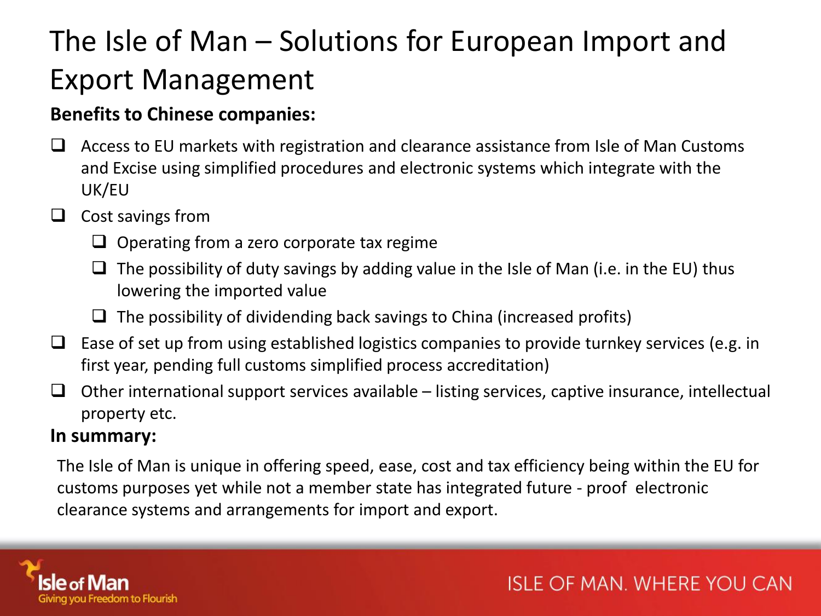## The Isle of Man – Solutions for European Import and Export Management

### **Benefits to Chinese companies:**

 $\Box$  Access to EU markets with registration and clearance assistance from Isle of Man Customs and Excise using simplified procedures and electronic systems which integrate with the UK/EU

#### $\Box$  Cost savings from

- $\Box$  Operating from a zero corporate tax regime
- $\Box$  The possibility of duty savings by adding value in the Isle of Man (i.e. in the EU) thus lowering the imported value
- $\Box$  The possibility of dividending back savings to China (increased profits)
- $\Box$  Ease of set up from using established logistics companies to provide turnkey services (e.g. in first year, pending full customs simplified process accreditation)
- $\Box$  Other international support services available listing services, captive insurance, intellectual property etc.

#### **In summary:**

The Isle of Man is unique in offering speed, ease, cost and tax efficiency being within the EU for customs purposes yet while not a member state has integrated future - proof electronic clearance systems and arrangements for import and export.